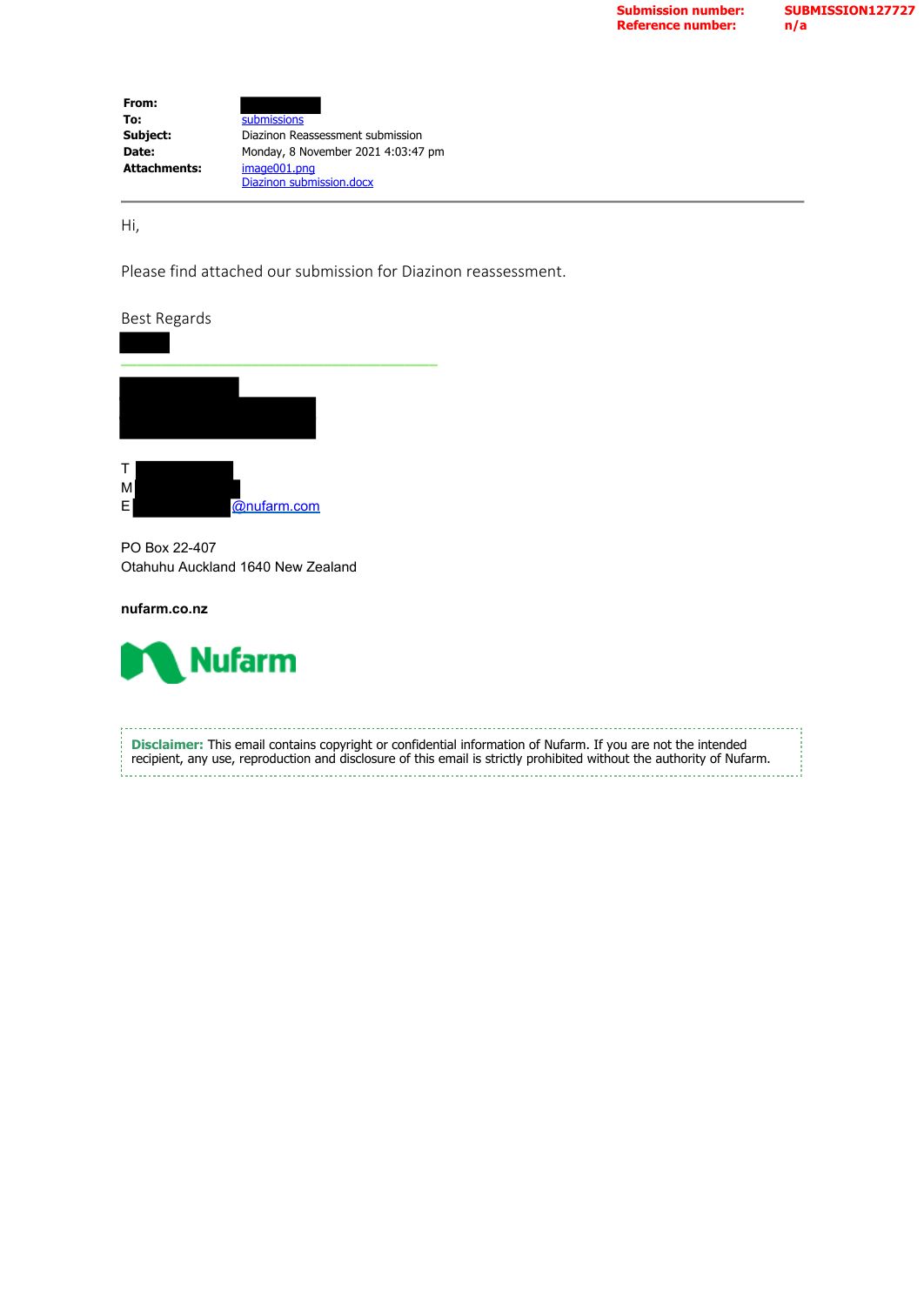| From:               |                                    |
|---------------------|------------------------------------|
| To:                 | submissions                        |
| Subject:            | Diazinon Reassessment submission   |
| Date:               | Monday, 8 November 2021 4:03:47 pm |
| <b>Attachments:</b> | image001.png                       |
|                     | Diazinon submission.docx           |

Hi,

Please find attached our submission for Diazinon reassessment.

Best Regards





PO Box 22-407 Otahuhu Auckland 1640 New Zealand

**nufarm.co.nz**



**Disclaimer:** This email contains copyright or confidential information of Nufarm. If you are not the intended recipient, any use, reproduction and disclosure of this email is strictly prohibited without the authority of Nufarm.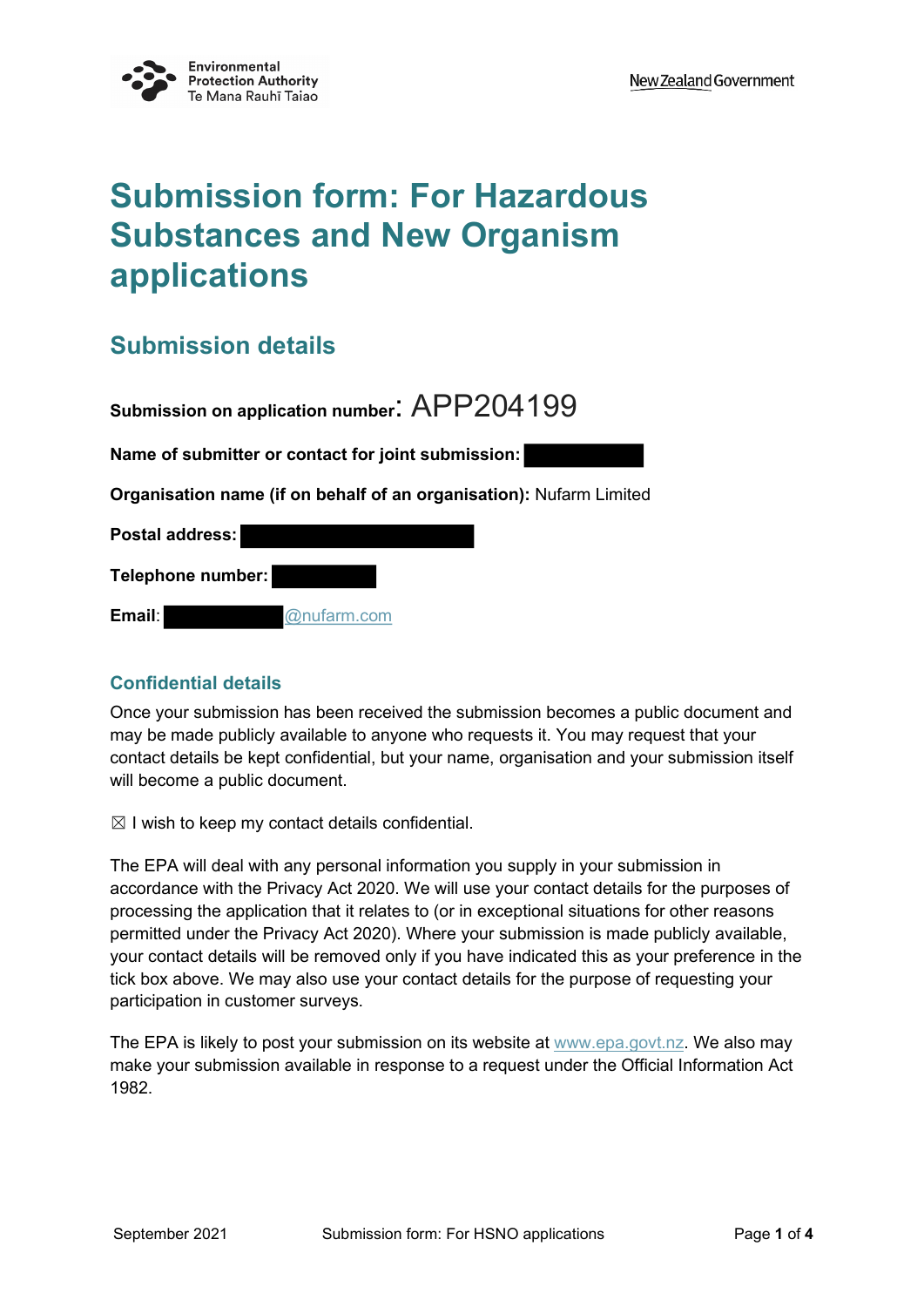

# **Submission form: For Hazardous Substances and New Organism applications**

## **Submission details**

**Submission on application number**: APP204199 **Name of submitter or contact for joint submission: Organisation name (if on behalf of an organisation):** Nufarm Limited **Postal address: Telephone number: Email**: @nufarm.com

#### **Confidential details**

Once your submission has been received the submission becomes a public document and may be made publicly available to anyone who requests it. You may request that your contact details be kept confidential, but your name, organisation and your submission itself will become a public document.

 $\boxtimes$  I wish to keep my contact details confidential.

The EPA will deal with any personal information you supply in your submission in accordance with the Privacy Act 2020. We will use your contact details for the purposes of processing the application that it relates to (or in exceptional situations for other reasons permitted under the Privacy Act 2020). Where your submission is made publicly available, your contact details will be removed only if you have indicated this as your preference in the tick box above. We may also use your contact details for the purpose of requesting your participation in customer surveys.

The EPA is likely to post your submission on its website at www.epa.govt.nz. We also may make your submission available in response to a request under the Official Information Act 1982.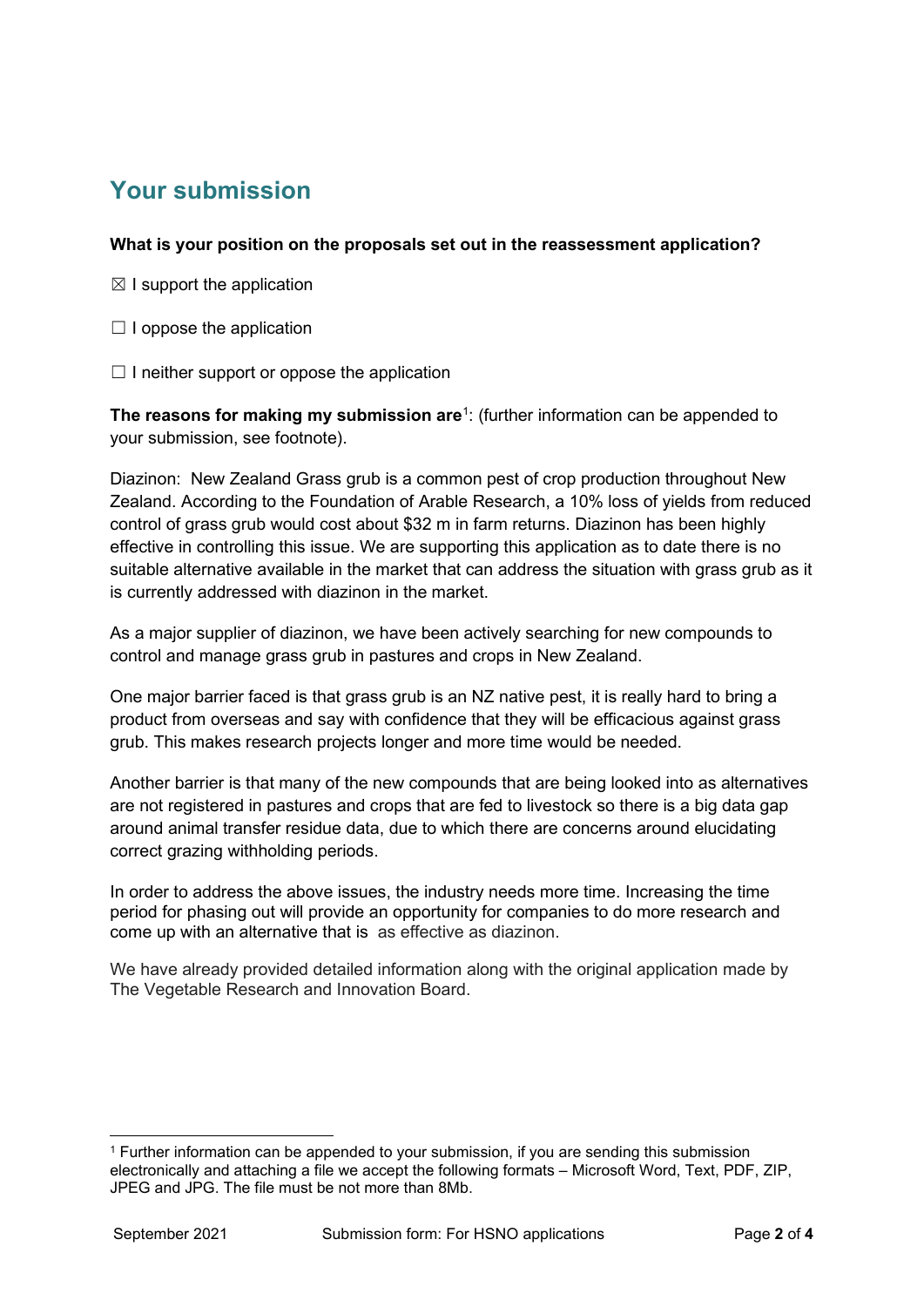### **Your submission**

#### **What is your position on the proposals set out in the reassessment application?**

- $\boxtimes$  I support the application
- $\Box$  I oppose the application
- $\Box$  I neither support or oppose the application

**The reasons for making my submission are**<sup>[1](#page-2-0)</sup>: (further information can be appended to your submission, see footnote).

Diazinon: New Zealand Grass grub is a common pest of crop production throughout New Zealand. According to the Foundation of Arable Research, a 10% loss of yields from reduced control of grass grub would cost about \$32 m in farm returns. Diazinon has been highly effective in controlling this issue. We are supporting this application as to date there is no suitable alternative available in the market that can address the situation with grass grub as it is currently addressed with diazinon in the market.

As a major supplier of diazinon, we have been actively searching for new compounds to control and manage grass grub in pastures and crops in New Zealand.

One major barrier faced is that grass grub is an NZ native pest, it is really hard to bring a product from overseas and say with confidence that they will be efficacious against grass grub. This makes research projects longer and more time would be needed.

Another barrier is that many of the new compounds that are being looked into as alternatives are not registered in pastures and crops that are fed to livestock so there is a big data gap around animal transfer residue data, due to which there are concerns around elucidating correct grazing withholding periods.

In order to address the above issues, the industry needs more time. Increasing the time period for phasing out will provide an opportunity for companies to do more research and come up with an alternative that is as effective as diazinon.

We have already provided detailed information along with the original application made by The Vegetable Research and Innovation Board.

<span id="page-2-0"></span><sup>1</sup> Further information can be appended to your submission, if you are sending this submission electronically and attaching a file we accept the following formats – Microsoft Word, Text, PDF, ZIP, JPEG and JPG. The file must be not more than 8Mb.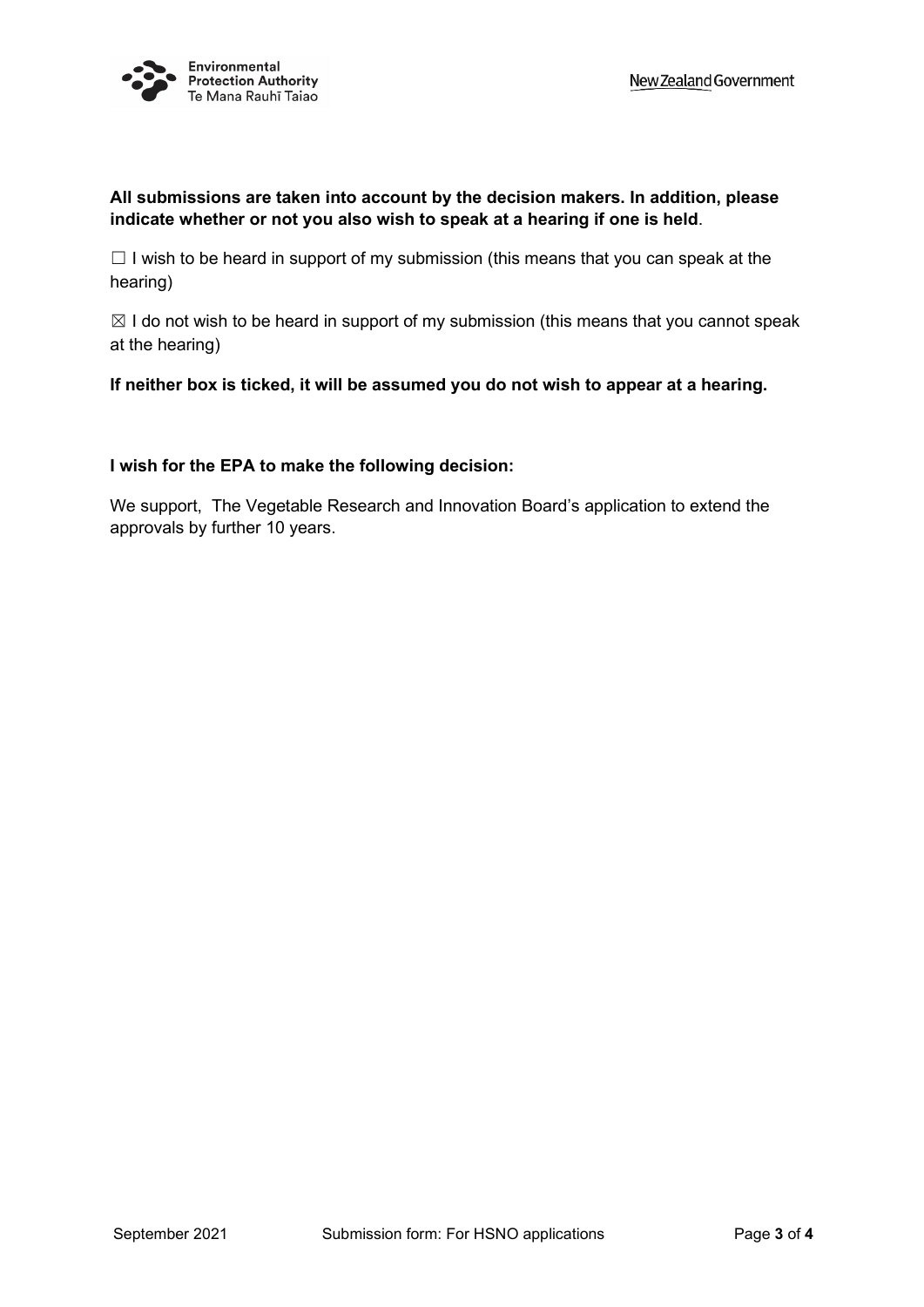

#### **All submissions are taken into account by the decision makers. In addition, please indicate whether or not you also wish to speak at a hearing if one is held**.

 $\Box$  I wish to be heard in support of my submission (this means that you can speak at the hearing)

 $\boxtimes$  I do not wish to be heard in support of my submission (this means that you cannot speak at the hearing)

**If neither box is ticked, it will be assumed you do not wish to appear at a hearing.**

#### **I wish for the EPA to make the following decision:**

We support, The Vegetable Research and Innovation Board's application to extend the approvals by further 10 years.